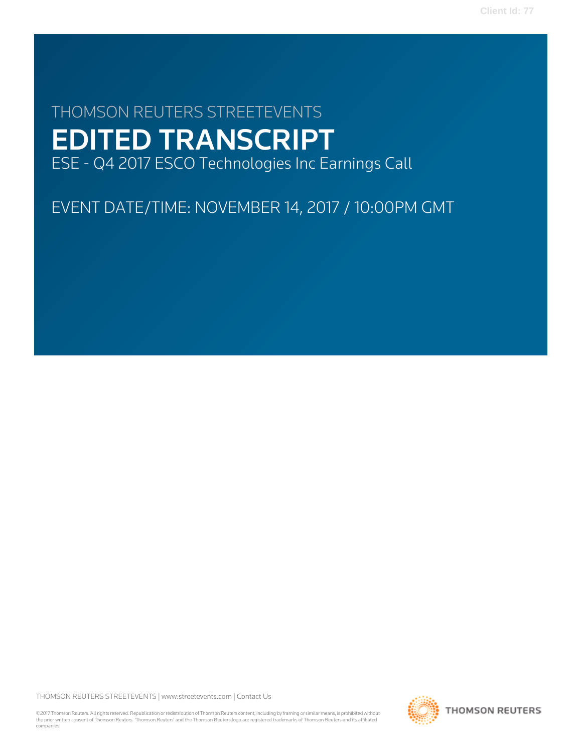# THOMSON REUTERS STREETEVENTS EDITED TRANSCRIPT ESE - Q4 2017 ESCO Technologies Inc Earnings Call

EVENT DATE/TIME: NOVEMBER 14, 2017 / 10:00PM GMT

THOMSON REUTERS STREETEVENTS | [www.streetevents.com](http://www.streetevents.com) | [Contact Us](http://www010.streetevents.com/contact.asp)

©2017 Thomson Reuters. All rights reserved. Republication or redistribution of Thomson Reuters content, including by framing or similar means, is prohibited without the prior written consent of Thomson Reuters. 'Thomson Reuters' and the Thomson Reuters logo are registered trademarks of Thomson Reuters and its affiliated companies.

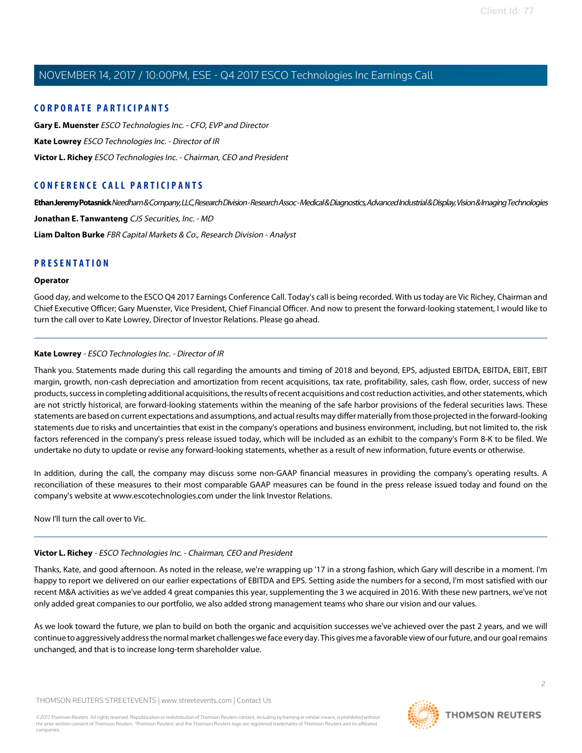#### **CORPORATE PARTICIPANTS**

**[Gary E. Muenster](#page-2-0)** ESCO Technologies Inc. - CFO, EVP and Director **[Kate Lowrey](#page-1-0)** ESCO Technologies Inc. - Director of IR **[Victor L. Richey](#page-1-1)** ESCO Technologies Inc. - Chairman, CEO and President

## **CONFERENCE CALL PARTICIPANTS**

**[Ethan Jeremy Potasnick](#page-6-0)** Needham & Company, LLC, Research Division - Research Assoc - Medical & Diagnostics, Advanced Industrial & Display, Vision & Imaging Technologies **[Jonathan E. Tanwanteng](#page-4-0)** CJS Securities, Inc. - MD

**[Liam Dalton Burke](#page-5-0)** FBR Capital Markets & Co., Research Division - Analyst

## **PRESENTATION**

#### **Operator**

<span id="page-1-0"></span>Good day, and welcome to the ESCO Q4 2017 Earnings Conference Call. Today's call is being recorded. With us today are Vic Richey, Chairman and Chief Executive Officer; Gary Muenster, Vice President, Chief Financial Officer. And now to present the forward-looking statement, I would like to turn the call over to Kate Lowrey, Director of Investor Relations. Please go ahead.

#### **Kate Lowrey** - ESCO Technologies Inc. - Director of IR

Thank you. Statements made during this call regarding the amounts and timing of 2018 and beyond, EPS, adjusted EBITDA, EBITDA, EBIT, EBIT margin, growth, non-cash depreciation and amortization from recent acquisitions, tax rate, profitability, sales, cash flow, order, success of new products, success in completing additional acquisitions, the results of recent acquisitions and cost reduction activities, and other statements, which are not strictly historical, are forward-looking statements within the meaning of the safe harbor provisions of the federal securities laws. These statements are based on current expectations and assumptions, and actual results may differ materially from those projected in the forward-looking statements due to risks and uncertainties that exist in the company's operations and business environment, including, but not limited to, the risk factors referenced in the company's press release issued today, which will be included as an exhibit to the company's Form 8-K to be filed. We undertake no duty to update or revise any forward-looking statements, whether as a result of new information, future events or otherwise.

In addition, during the call, the company may discuss some non-GAAP financial measures in providing the company's operating results. A reconciliation of these measures to their most comparable GAAP measures can be found in the press release issued today and found on the company's website at www.escotechnologies.com under the link Investor Relations.

<span id="page-1-1"></span>Now I'll turn the call over to Vic.

## **Victor L. Richey** - ESCO Technologies Inc. - Chairman, CEO and President

Thanks, Kate, and good afternoon. As noted in the release, we're wrapping up '17 in a strong fashion, which Gary will describe in a moment. I'm happy to report we delivered on our earlier expectations of EBITDA and EPS. Setting aside the numbers for a second, I'm most satisfied with our recent M&A activities as we've added 4 great companies this year, supplementing the 3 we acquired in 2016. With these new partners, we've not only added great companies to our portfolio, we also added strong management teams who share our vision and our values.

As we look toward the future, we plan to build on both the organic and acquisition successes we've achieved over the past 2 years, and we will continue to aggressively address the normal market challenges we face every day. This gives me a favorable view of our future, and our goal remains unchanged, and that is to increase long-term shareholder value.

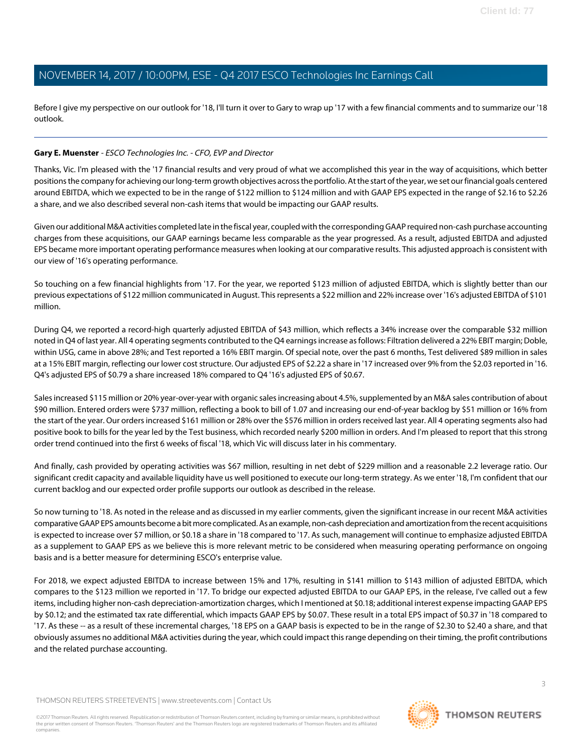Before I give my perspective on our outlook for '18, I'll turn it over to Gary to wrap up '17 with a few financial comments and to summarize our '18 outlook.

#### <span id="page-2-0"></span>**Gary E. Muenster** - ESCO Technologies Inc. - CFO, EVP and Director

Thanks, Vic. I'm pleased with the '17 financial results and very proud of what we accomplished this year in the way of acquisitions, which better positions the company for achieving our long-term growth objectives across the portfolio. At the start of the year, we set our financial goals centered around EBITDA, which we expected to be in the range of \$122 million to \$124 million and with GAAP EPS expected in the range of \$2.16 to \$2.26 a share, and we also described several non-cash items that would be impacting our GAAP results.

Given our additional M&A activities completed late in the fiscal year, coupled with the corresponding GAAP required non-cash purchase accounting charges from these acquisitions, our GAAP earnings became less comparable as the year progressed. As a result, adjusted EBITDA and adjusted EPS became more important operating performance measures when looking at our comparative results. This adjusted approach is consistent with our view of '16's operating performance.

So touching on a few financial highlights from '17. For the year, we reported \$123 million of adjusted EBITDA, which is slightly better than our previous expectations of \$122 million communicated in August. This represents a \$22 million and 22% increase over '16's adjusted EBITDA of \$101 million.

During Q4, we reported a record-high quarterly adjusted EBITDA of \$43 million, which reflects a 34% increase over the comparable \$32 million noted in Q4 of last year. All 4 operating segments contributed to the Q4 earnings increase as follows: Filtration delivered a 22% EBIT margin; Doble, within USG, came in above 28%; and Test reported a 16% EBIT margin. Of special note, over the past 6 months, Test delivered \$89 million in sales at a 15% EBIT margin, reflecting our lower cost structure. Our adjusted EPS of \$2.22 a share in '17 increased over 9% from the \$2.03 reported in '16. Q4's adjusted EPS of \$0.79 a share increased 18% compared to Q4 '16's adjusted EPS of \$0.67.

Sales increased \$115 million or 20% year-over-year with organic sales increasing about 4.5%, supplemented by an M&A sales contribution of about \$90 million. Entered orders were \$737 million, reflecting a book to bill of 1.07 and increasing our end-of-year backlog by \$51 million or 16% from the start of the year. Our orders increased \$161 million or 28% over the \$576 million in orders received last year. All 4 operating segments also had positive book to bills for the year led by the Test business, which recorded nearly \$200 million in orders. And I'm pleased to report that this strong order trend continued into the first 6 weeks of fiscal '18, which Vic will discuss later in his commentary.

And finally, cash provided by operating activities was \$67 million, resulting in net debt of \$229 million and a reasonable 2.2 leverage ratio. Our significant credit capacity and available liquidity have us well positioned to execute our long-term strategy. As we enter '18, I'm confident that our current backlog and our expected order profile supports our outlook as described in the release.

So now turning to '18. As noted in the release and as discussed in my earlier comments, given the significant increase in our recent M&A activities comparative GAAP EPS amounts become a bit more complicated. As an example, non-cash depreciation and amortization from the recent acquisitions is expected to increase over \$7 million, or \$0.18 a share in '18 compared to '17. As such, management will continue to emphasize adjusted EBITDA as a supplement to GAAP EPS as we believe this is more relevant metric to be considered when measuring operating performance on ongoing basis and is a better measure for determining ESCO's enterprise value.

For 2018, we expect adjusted EBITDA to increase between 15% and 17%, resulting in \$141 million to \$143 million of adjusted EBITDA, which compares to the \$123 million we reported in '17. To bridge our expected adjusted EBITDA to our GAAP EPS, in the release, I've called out a few items, including higher non-cash depreciation-amortization charges, which I mentioned at \$0.18; additional interest expense impacting GAAP EPS by \$0.12; and the estimated tax rate differential, which impacts GAAP EPS by \$0.07. These result in a total EPS impact of \$0.37 in '18 compared to '17. As these -- as a result of these incremental charges, '18 EPS on a GAAP basis is expected to be in the range of \$2.30 to \$2.40 a share, and that obviously assumes no additional M&A activities during the year, which could impact this range depending on their timing, the profit contributions and the related purchase accounting.

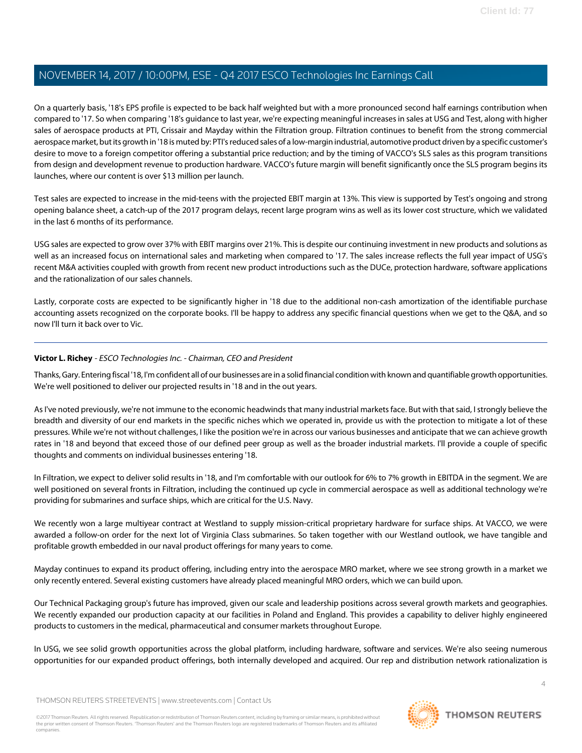On a quarterly basis, '18's EPS profile is expected to be back half weighted but with a more pronounced second half earnings contribution when compared to '17. So when comparing '18's guidance to last year, we're expecting meaningful increases in sales at USG and Test, along with higher sales of aerospace products at PTI, Crissair and Mayday within the Filtration group. Filtration continues to benefit from the strong commercial aerospace market, but its growth in '18 is muted by: PTI's reduced sales of a low-margin industrial, automotive product driven by a specific customer's desire to move to a foreign competitor offering a substantial price reduction; and by the timing of VACCO's SLS sales as this program transitions from design and development revenue to production hardware. VACCO's future margin will benefit significantly once the SLS program begins its launches, where our content is over \$13 million per launch.

Test sales are expected to increase in the mid-teens with the projected EBIT margin at 13%. This view is supported by Test's ongoing and strong opening balance sheet, a catch-up of the 2017 program delays, recent large program wins as well as its lower cost structure, which we validated in the last 6 months of its performance.

USG sales are expected to grow over 37% with EBIT margins over 21%. This is despite our continuing investment in new products and solutions as well as an increased focus on international sales and marketing when compared to '17. The sales increase reflects the full year impact of USG's recent M&A activities coupled with growth from recent new product introductions such as the DUCe, protection hardware, software applications and the rationalization of our sales channels.

Lastly, corporate costs are expected to be significantly higher in '18 due to the additional non-cash amortization of the identifiable purchase accounting assets recognized on the corporate books. I'll be happy to address any specific financial questions when we get to the Q&A, and so now I'll turn it back over to Vic.

## **Victor L. Richey** - ESCO Technologies Inc. - Chairman, CEO and President

Thanks, Gary. Entering fiscal '18, I'm confident all of our businesses are in a solid financial condition with known and quantifiable growth opportunities. We're well positioned to deliver our projected results in '18 and in the out years.

As I've noted previously, we're not immune to the economic headwinds that many industrial markets face. But with that said, I strongly believe the breadth and diversity of our end markets in the specific niches which we operated in, provide us with the protection to mitigate a lot of these pressures. While we're not without challenges, I like the position we're in across our various businesses and anticipate that we can achieve growth rates in '18 and beyond that exceed those of our defined peer group as well as the broader industrial markets. I'll provide a couple of specific thoughts and comments on individual businesses entering '18.

In Filtration, we expect to deliver solid results in '18, and I'm comfortable with our outlook for 6% to 7% growth in EBITDA in the segment. We are well positioned on several fronts in Filtration, including the continued up cycle in commercial aerospace as well as additional technology we're providing for submarines and surface ships, which are critical for the U.S. Navy.

We recently won a large multiyear contract at Westland to supply mission-critical proprietary hardware for surface ships. At VACCO, we were awarded a follow-on order for the next lot of Virginia Class submarines. So taken together with our Westland outlook, we have tangible and profitable growth embedded in our naval product offerings for many years to come.

Mayday continues to expand its product offering, including entry into the aerospace MRO market, where we see strong growth in a market we only recently entered. Several existing customers have already placed meaningful MRO orders, which we can build upon.

Our Technical Packaging group's future has improved, given our scale and leadership positions across several growth markets and geographies. We recently expanded our production capacity at our facilities in Poland and England. This provides a capability to deliver highly engineered products to customers in the medical, pharmaceutical and consumer markets throughout Europe.

In USG, we see solid growth opportunities across the global platform, including hardware, software and services. We're also seeing numerous opportunities for our expanded product offerings, both internally developed and acquired. Our rep and distribution network rationalization is

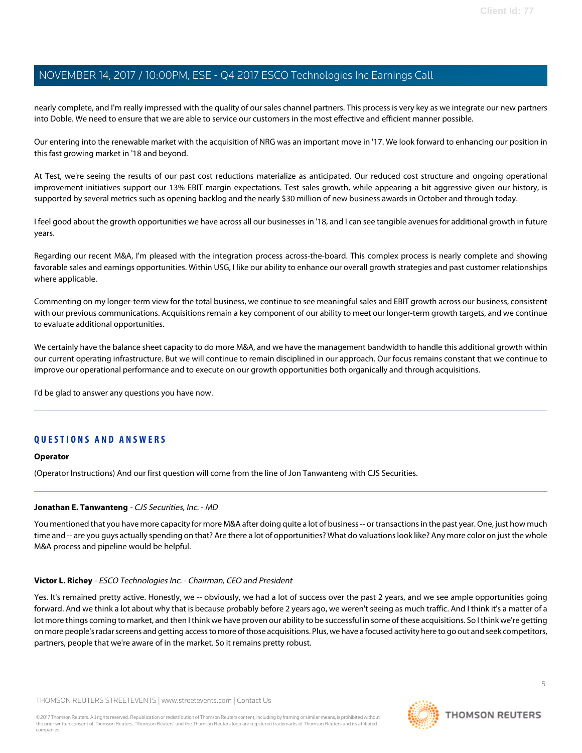nearly complete, and I'm really impressed with the quality of our sales channel partners. This process is very key as we integrate our new partners into Doble. We need to ensure that we are able to service our customers in the most effective and efficient manner possible.

Our entering into the renewable market with the acquisition of NRG was an important move in '17. We look forward to enhancing our position in this fast growing market in '18 and beyond.

At Test, we're seeing the results of our past cost reductions materialize as anticipated. Our reduced cost structure and ongoing operational improvement initiatives support our 13% EBIT margin expectations. Test sales growth, while appearing a bit aggressive given our history, is supported by several metrics such as opening backlog and the nearly \$30 million of new business awards in October and through today.

I feel good about the growth opportunities we have across all our businesses in '18, and I can see tangible avenues for additional growth in future years.

Regarding our recent M&A, I'm pleased with the integration process across-the-board. This complex process is nearly complete and showing favorable sales and earnings opportunities. Within USG, I like our ability to enhance our overall growth strategies and past customer relationships where applicable.

Commenting on my longer-term view for the total business, we continue to see meaningful sales and EBIT growth across our business, consistent with our previous communications. Acquisitions remain a key component of our ability to meet our longer-term growth targets, and we continue to evaluate additional opportunities.

We certainly have the balance sheet capacity to do more M&A, and we have the management bandwidth to handle this additional growth within our current operating infrastructure. But we will continue to remain disciplined in our approach. Our focus remains constant that we continue to improve our operational performance and to execute on our growth opportunities both organically and through acquisitions.

I'd be glad to answer any questions you have now.

## **QUESTIONS AND ANSWERS**

#### <span id="page-4-0"></span>**Operator**

(Operator Instructions) And our first question will come from the line of Jon Tanwanteng with CJS Securities.

#### **Jonathan E. Tanwanteng** - CJS Securities, Inc. - MD

You mentioned that you have more capacity for more M&A after doing quite a lot of business -- or transactions in the past year. One, just how much time and -- are you guys actually spending on that? Are there a lot of opportunities? What do valuations look like? Any more color on just the whole M&A process and pipeline would be helpful.

#### **Victor L. Richey** - ESCO Technologies Inc. - Chairman, CEO and President

Yes. It's remained pretty active. Honestly, we -- obviously, we had a lot of success over the past 2 years, and we see ample opportunities going forward. And we think a lot about why that is because probably before 2 years ago, we weren't seeing as much traffic. And I think it's a matter of a lot more things coming to market, and then I think we have proven our ability to be successful in some of these acquisitions. So I think we're getting on more people's radar screens and getting access to more of those acquisitions. Plus, we have a focused activity here to go out and seek competitors, partners, people that we're aware of in the market. So it remains pretty robust.

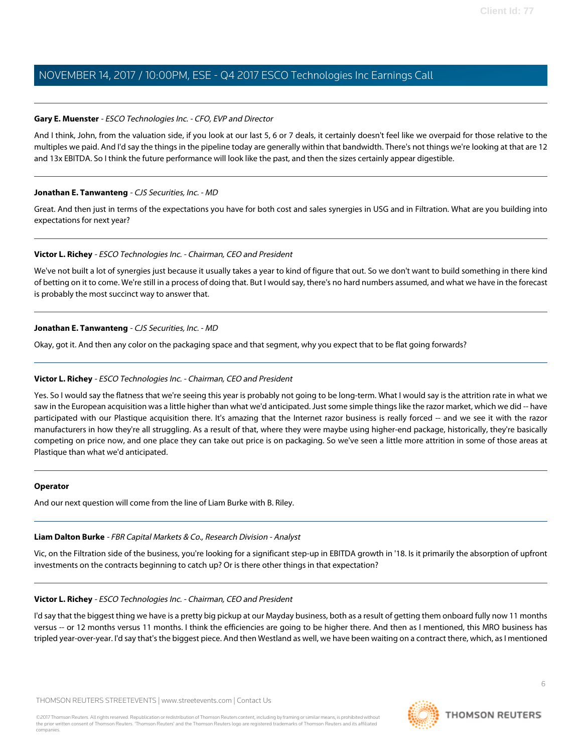#### **Gary E. Muenster** - ESCO Technologies Inc. - CFO, EVP and Director

And I think, John, from the valuation side, if you look at our last 5, 6 or 7 deals, it certainly doesn't feel like we overpaid for those relative to the multiples we paid. And I'd say the things in the pipeline today are generally within that bandwidth. There's not things we're looking at that are 12 and 13x EBITDA. So I think the future performance will look like the past, and then the sizes certainly appear digestible.

#### **Jonathan E. Tanwanteng** - CJS Securities, Inc. - MD

Great. And then just in terms of the expectations you have for both cost and sales synergies in USG and in Filtration. What are you building into expectations for next year?

#### **Victor L. Richey** - ESCO Technologies Inc. - Chairman, CEO and President

We've not built a lot of synergies just because it usually takes a year to kind of figure that out. So we don't want to build something in there kind of betting on it to come. We're still in a process of doing that. But I would say, there's no hard numbers assumed, and what we have in the forecast is probably the most succinct way to answer that.

#### **Jonathan E. Tanwanteng** - CJS Securities, Inc. - MD

Okay, got it. And then any color on the packaging space and that segment, why you expect that to be flat going forwards?

#### **Victor L. Richey** - ESCO Technologies Inc. - Chairman, CEO and President

Yes. So I would say the flatness that we're seeing this year is probably not going to be long-term. What I would say is the attrition rate in what we saw in the European acquisition was a little higher than what we'd anticipated. Just some simple things like the razor market, which we did -- have participated with our Plastique acquisition there. It's amazing that the Internet razor business is really forced -- and we see it with the razor manufacturers in how they're all struggling. As a result of that, where they were maybe using higher-end package, historically, they're basically competing on price now, and one place they can take out price is on packaging. So we've seen a little more attrition in some of those areas at Plastique than what we'd anticipated.

#### <span id="page-5-0"></span>**Operator**

And our next question will come from the line of Liam Burke with B. Riley.

#### **Liam Dalton Burke** - FBR Capital Markets & Co., Research Division - Analyst

Vic, on the Filtration side of the business, you're looking for a significant step-up in EBITDA growth in '18. Is it primarily the absorption of upfront investments on the contracts beginning to catch up? Or is there other things in that expectation?

#### **Victor L. Richey** - ESCO Technologies Inc. - Chairman, CEO and President

I'd say that the biggest thing we have is a pretty big pickup at our Mayday business, both as a result of getting them onboard fully now 11 months versus -- or 12 months versus 11 months. I think the efficiencies are going to be higher there. And then as I mentioned, this MRO business has tripled year-over-year. I'd say that's the biggest piece. And then Westland as well, we have been waiting on a contract there, which, as I mentioned

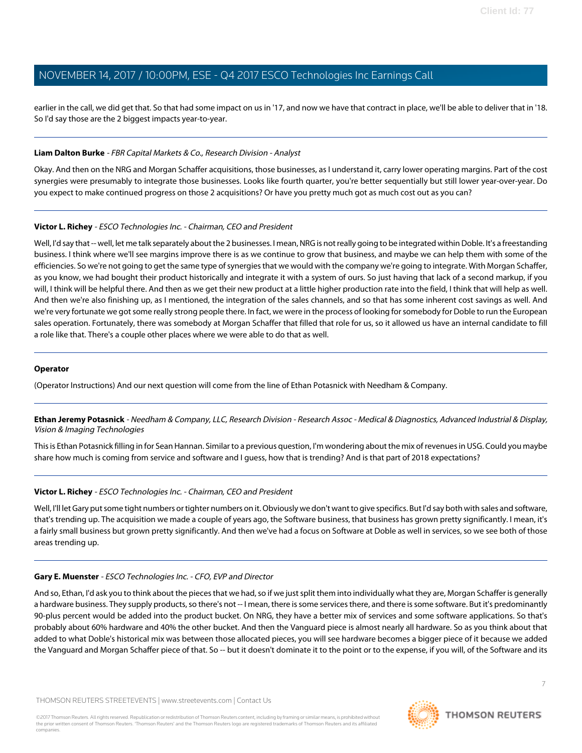earlier in the call, we did get that. So that had some impact on us in '17, and now we have that contract in place, we'll be able to deliver that in '18. So I'd say those are the 2 biggest impacts year-to-year.

#### **Liam Dalton Burke** - FBR Capital Markets & Co., Research Division - Analyst

Okay. And then on the NRG and Morgan Schaffer acquisitions, those businesses, as I understand it, carry lower operating margins. Part of the cost synergies were presumably to integrate those businesses. Looks like fourth quarter, you're better sequentially but still lower year-over-year. Do you expect to make continued progress on those 2 acquisitions? Or have you pretty much got as much cost out as you can?

#### **Victor L. Richey** - ESCO Technologies Inc. - Chairman, CEO and President

Well, I'd say that -- well, let me talk separately about the 2 businesses. I mean, NRG is not really going to be integrated within Doble. It's a freestanding business. I think where we'll see margins improve there is as we continue to grow that business, and maybe we can help them with some of the efficiencies. So we're not going to get the same type of synergies that we would with the company we're going to integrate. With Morgan Schaffer, as you know, we had bought their product historically and integrate it with a system of ours. So just having that lack of a second markup, if you will, I think will be helpful there. And then as we get their new product at a little higher production rate into the field, I think that will help as well. And then we're also finishing up, as I mentioned, the integration of the sales channels, and so that has some inherent cost savings as well. And we're very fortunate we got some really strong people there. In fact, we were in the process of looking for somebody for Doble to run the European sales operation. Fortunately, there was somebody at Morgan Schaffer that filled that role for us, so it allowed us have an internal candidate to fill a role like that. There's a couple other places where we were able to do that as well.

#### **Operator**

<span id="page-6-0"></span>(Operator Instructions) And our next question will come from the line of Ethan Potasnick with Needham & Company.

#### **Ethan Jeremy Potasnick** - Needham & Company, LLC, Research Division - Research Assoc - Medical & Diagnostics, Advanced Industrial & Display, Vision & Imaging Technologies

This is Ethan Potasnick filling in for Sean Hannan. Similar to a previous question, I'm wondering about the mix of revenues in USG. Could you maybe share how much is coming from service and software and I guess, how that is trending? And is that part of 2018 expectations?

## **Victor L. Richey** - ESCO Technologies Inc. - Chairman, CEO and President

Well, I'll let Gary put some tight numbers or tighter numbers on it. Obviously we don't want to give specifics. But I'd say both with sales and software, that's trending up. The acquisition we made a couple of years ago, the Software business, that business has grown pretty significantly. I mean, it's a fairly small business but grown pretty significantly. And then we've had a focus on Software at Doble as well in services, so we see both of those areas trending up.

#### **Gary E. Muenster** - ESCO Technologies Inc. - CFO, EVP and Director

And so, Ethan, I'd ask you to think about the pieces that we had, so if we just split them into individually what they are, Morgan Schaffer is generally a hardware business. They supply products, so there's not -- I mean, there is some services there, and there is some software. But it's predominantly 90-plus percent would be added into the product bucket. On NRG, they have a better mix of services and some software applications. So that's probably about 60% hardware and 40% the other bucket. And then the Vanguard piece is almost nearly all hardware. So as you think about that added to what Doble's historical mix was between those allocated pieces, you will see hardware becomes a bigger piece of it because we added the Vanguard and Morgan Schaffer piece of that. So -- but it doesn't dominate it to the point or to the expense, if you will, of the Software and its

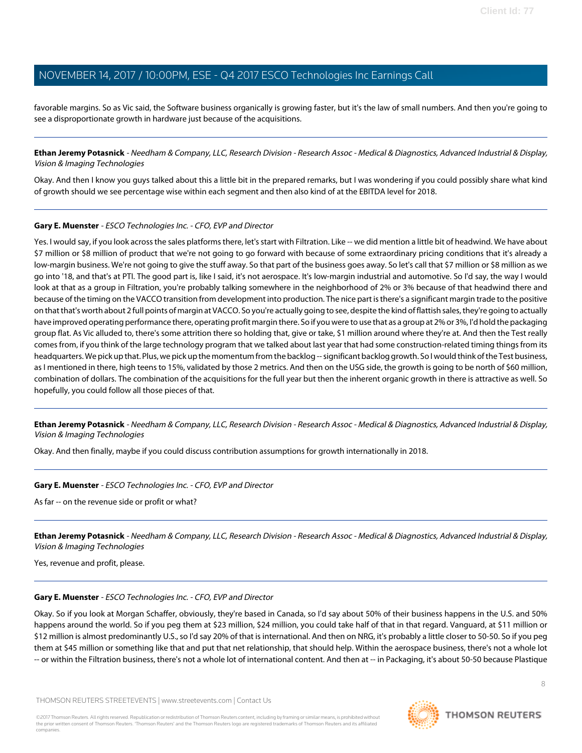favorable margins. So as Vic said, the Software business organically is growing faster, but it's the law of small numbers. And then you're going to see a disproportionate growth in hardware just because of the acquisitions.

**Ethan Jeremy Potasnick** - Needham & Company, LLC, Research Division - Research Assoc - Medical & Diagnostics, Advanced Industrial & Display, Vision & Imaging Technologies

Okay. And then I know you guys talked about this a little bit in the prepared remarks, but I was wondering if you could possibly share what kind of growth should we see percentage wise within each segment and then also kind of at the EBITDA level for 2018.

#### **Gary E. Muenster** - ESCO Technologies Inc. - CFO, EVP and Director

Yes. I would say, if you look across the sales platforms there, let's start with Filtration. Like -- we did mention a little bit of headwind. We have about \$7 million or \$8 million of product that we're not going to go forward with because of some extraordinary pricing conditions that it's already a low-margin business. We're not going to give the stuff away. So that part of the business goes away. So let's call that \$7 million or \$8 million as we go into '18, and that's at PTI. The good part is, like I said, it's not aerospace. It's low-margin industrial and automotive. So I'd say, the way I would look at that as a group in Filtration, you're probably talking somewhere in the neighborhood of 2% or 3% because of that headwind there and because of the timing on the VACCO transition from development into production. The nice part is there's a significant margin trade to the positive on that that's worth about 2 full points of margin at VACCO. So you're actually going to see, despite the kind of flattish sales, they're going to actually have improved operating performance there, operating profit margin there. So if you were to use that as a group at 2% or 3%, I'd hold the packaging group flat. As Vic alluded to, there's some attrition there so holding that, give or take, \$1 million around where they're at. And then the Test really comes from, if you think of the large technology program that we talked about last year that had some construction-related timing things from its headquarters. We pick up that. Plus, we pick up the momentum from the backlog -- significant backlog growth. So I would think of the Test business, as I mentioned in there, high teens to 15%, validated by those 2 metrics. And then on the USG side, the growth is going to be north of \$60 million, combination of dollars. The combination of the acquisitions for the full year but then the inherent organic growth in there is attractive as well. So hopefully, you could follow all those pieces of that.

**Ethan Jeremy Potasnick** - Needham & Company, LLC, Research Division - Research Assoc - Medical & Diagnostics, Advanced Industrial & Display, Vision & Imaging Technologies

Okay. And then finally, maybe if you could discuss contribution assumptions for growth internationally in 2018.

#### **Gary E. Muenster** - ESCO Technologies Inc. - CFO, EVP and Director

As far -- on the revenue side or profit or what?

**Ethan Jeremy Potasnick** - Needham & Company, LLC, Research Division - Research Assoc - Medical & Diagnostics, Advanced Industrial & Display, Vision & Imaging Technologies

Yes, revenue and profit, please.

#### **Gary E. Muenster** - ESCO Technologies Inc. - CFO, EVP and Director

Okay. So if you look at Morgan Schaffer, obviously, they're based in Canada, so I'd say about 50% of their business happens in the U.S. and 50% happens around the world. So if you peg them at \$23 million, \$24 million, you could take half of that in that regard. Vanguard, at \$11 million or \$12 million is almost predominantly U.S., so I'd say 20% of that is international. And then on NRG, it's probably a little closer to 50-50. So if you peg them at \$45 million or something like that and put that net relationship, that should help. Within the aerospace business, there's not a whole lot -- or within the Filtration business, there's not a whole lot of international content. And then at -- in Packaging, it's about 50-50 because Plastique